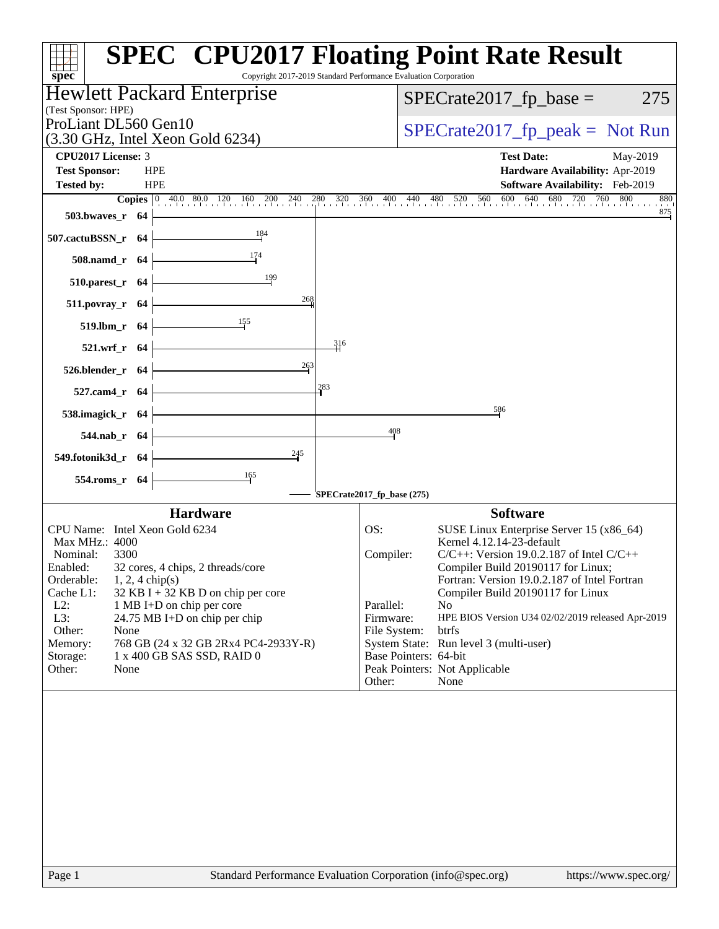| $spec^*$                                                                         | <b>SPEC<sup>®</sup> CPU2017 Floating Point Rate Result</b><br>Copyright 2017-2019 Standard Performance Evaluation Corporation                                                                                       |
|----------------------------------------------------------------------------------|---------------------------------------------------------------------------------------------------------------------------------------------------------------------------------------------------------------------|
| Hewlett Packard Enterprise                                                       | $SPECrate2017_fp\_base =$<br>275                                                                                                                                                                                    |
| (Test Sponsor: HPE)<br>ProLiant DL560 Gen10                                      |                                                                                                                                                                                                                     |
| $(3.30 \text{ GHz}, \text{Intel Xeon Gold } 6234)$                               | $SPECTate2017_fp\_peak = Not Run$                                                                                                                                                                                   |
| CPU2017 License: 3                                                               | <b>Test Date:</b><br>May-2019                                                                                                                                                                                       |
| <b>Test Sponsor:</b><br><b>HPE</b>                                               | Hardware Availability: Apr-2019                                                                                                                                                                                     |
| <b>HPE</b><br><b>Tested by:</b>                                                  | Software Availability: Feb-2019<br><b>Copies</b> $\begin{bmatrix} 0 & 40.0 & 80.0 & 120 & 160 & 200 & 240 & 280 & 320 & 360 & 400 & 440 & 480 & 520 & 560 & 600 & 640 & 680 & 720 & 760 & 800 \end{bmatrix}$<br>880 |
| $503.bwaves_r$ 64                                                                | 875                                                                                                                                                                                                                 |
| 184<br>507.cactuBSSN_r 64                                                        |                                                                                                                                                                                                                     |
| 508.namd_r 64                                                                    |                                                                                                                                                                                                                     |
| 199<br>$510.parest_r$ 64                                                         |                                                                                                                                                                                                                     |
| 268<br>$511.povray_r$ 64                                                         |                                                                                                                                                                                                                     |
| $\frac{155}{2}$<br>$519. lbm_r 64$                                               |                                                                                                                                                                                                                     |
| 316<br>521.wrf_r 64                                                              |                                                                                                                                                                                                                     |
| 263<br>526.blender_r 64                                                          |                                                                                                                                                                                                                     |
| 283<br>527.cam4_r 64                                                             |                                                                                                                                                                                                                     |
| 538.imagick_r 64                                                                 | 586                                                                                                                                                                                                                 |
| 544.nab_r 64                                                                     | 408                                                                                                                                                                                                                 |
| $\frac{245}{9}$<br>549.fotonik3d_r 64                                            |                                                                                                                                                                                                                     |
| 554.roms_r 64                                                                    |                                                                                                                                                                                                                     |
|                                                                                  | SPECrate2017_fp_base (275)                                                                                                                                                                                          |
| <b>Hardware</b><br>CPU Name: Intel Xeon Gold 6234                                | <b>Software</b><br>SUSE Linux Enterprise Server 15 (x86_64)<br>OS:                                                                                                                                                  |
| Max MHz.: 4000                                                                   | Kernel 4.12.14-23-default                                                                                                                                                                                           |
| Nominal:<br>3300                                                                 | $C/C++$ : Version 19.0.2.187 of Intel $C/C++$<br>Compiler:                                                                                                                                                          |
| Enabled:<br>32 cores, 4 chips, 2 threads/core<br>Orderable:<br>$1, 2, 4$ chip(s) | Compiler Build 20190117 for Linux;<br>Fortran: Version 19.0.2.187 of Intel Fortran                                                                                                                                  |
| Cache L1:<br>$32$ KB I + 32 KB D on chip per core                                | Compiler Build 20190117 for Linux                                                                                                                                                                                   |
| $L2$ :<br>1 MB I+D on chip per core                                              | Parallel:<br>N <sub>o</sub>                                                                                                                                                                                         |
| L3:<br>24.75 MB I+D on chip per chip<br>Other:<br>None                           | Firmware:<br>HPE BIOS Version U34 02/02/2019 released Apr-2019<br>File System:<br>btrfs                                                                                                                             |
| Memory:<br>768 GB (24 x 32 GB 2Rx4 PC4-2933Y-R)                                  | System State: Run level 3 (multi-user)                                                                                                                                                                              |
| 1 x 400 GB SAS SSD, RAID 0<br>Storage:                                           | Base Pointers: 64-bit                                                                                                                                                                                               |
| Other:<br>None                                                                   | Peak Pointers: Not Applicable<br>Other:<br>None                                                                                                                                                                     |
|                                                                                  |                                                                                                                                                                                                                     |
|                                                                                  |                                                                                                                                                                                                                     |
|                                                                                  |                                                                                                                                                                                                                     |
|                                                                                  |                                                                                                                                                                                                                     |
|                                                                                  |                                                                                                                                                                                                                     |
|                                                                                  |                                                                                                                                                                                                                     |
|                                                                                  |                                                                                                                                                                                                                     |
|                                                                                  |                                                                                                                                                                                                                     |
|                                                                                  |                                                                                                                                                                                                                     |
| Page 1                                                                           | Standard Performance Evaluation Corporation (info@spec.org)<br>https://www.spec.org/                                                                                                                                |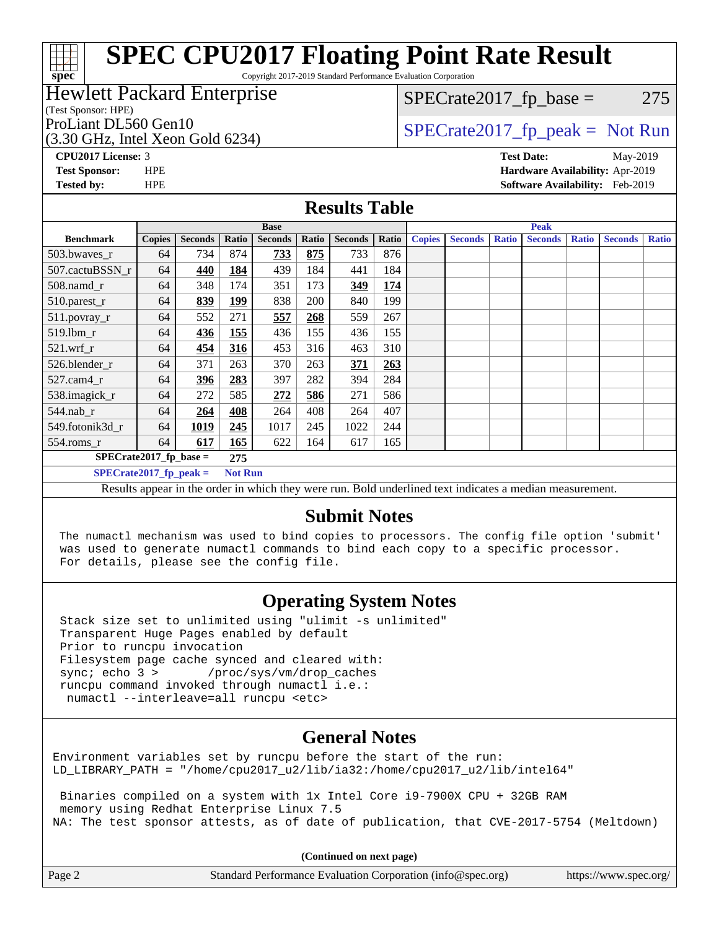Copyright 2017-2019 Standard Performance Evaluation Corporation

## Hewlett Packard Enterprise

(Test Sponsor: HPE)

(3.30 GHz, Intel Xeon Gold 6234)

 $SPECTate2017<sub>fr</sub> base = 275$ 

## ProLiant DL560 Gen10  $SPECrate2017$   $fp$  peak = Not Run

**[spec](http://www.spec.org/)**

ti h

**[CPU2017 License:](http://www.spec.org/auto/cpu2017/Docs/result-fields.html#CPU2017License)** 3 **[Test Date:](http://www.spec.org/auto/cpu2017/Docs/result-fields.html#TestDate)** May-2019 **[Test Sponsor:](http://www.spec.org/auto/cpu2017/Docs/result-fields.html#TestSponsor)** HPE **[Hardware Availability:](http://www.spec.org/auto/cpu2017/Docs/result-fields.html#HardwareAvailability)** Apr-2019 **[Tested by:](http://www.spec.org/auto/cpu2017/Docs/result-fields.html#Testedby)** HPE **[Software Availability:](http://www.spec.org/auto/cpu2017/Docs/result-fields.html#SoftwareAvailability)** Feb-2019

### **[Results Table](http://www.spec.org/auto/cpu2017/Docs/result-fields.html#ResultsTable)**

|                           | <b>Base</b>                                                                                                                                                                                                                                                                    |                |                |                |       |                |       |               | <b>Peak</b>    |              |                |              |                |              |
|---------------------------|--------------------------------------------------------------------------------------------------------------------------------------------------------------------------------------------------------------------------------------------------------------------------------|----------------|----------------|----------------|-------|----------------|-------|---------------|----------------|--------------|----------------|--------------|----------------|--------------|
| <b>Benchmark</b>          | <b>Copies</b>                                                                                                                                                                                                                                                                  | <b>Seconds</b> | Ratio          | <b>Seconds</b> | Ratio | <b>Seconds</b> | Ratio | <b>Copies</b> | <b>Seconds</b> | <b>Ratio</b> | <b>Seconds</b> | <b>Ratio</b> | <b>Seconds</b> | <b>Ratio</b> |
| 503.bwaves_r              | 64                                                                                                                                                                                                                                                                             | 734            | 874            | 733            | 875   | 733            | 876   |               |                |              |                |              |                |              |
| 507.cactuBSSN r           | 64                                                                                                                                                                                                                                                                             | 440            | 184            | 439            | 184   | 441            | 184   |               |                |              |                |              |                |              |
| 508.namd_r                | 64                                                                                                                                                                                                                                                                             | 348            | 174            | 351            | 173   | 349            | 174   |               |                |              |                |              |                |              |
| 510.parest_r              | 64                                                                                                                                                                                                                                                                             | 839            | 199            | 838            | 200   | 840            | 199   |               |                |              |                |              |                |              |
| 511.povray_r              | 64                                                                                                                                                                                                                                                                             | 552            | 271            | 557            | 268   | 559            | 267   |               |                |              |                |              |                |              |
| 519.1bm r                 | 64                                                                                                                                                                                                                                                                             | 436            | 155            | 436            | 155   | 436            | 155   |               |                |              |                |              |                |              |
| $521$ .wrf r              | 64                                                                                                                                                                                                                                                                             | 454            | 316            | 453            | 316   | 463            | 310   |               |                |              |                |              |                |              |
| 526.blender r             | 64                                                                                                                                                                                                                                                                             | 371            | 263            | 370            | 263   | 371            | 263   |               |                |              |                |              |                |              |
| $527$ .cam $4r$           | 64                                                                                                                                                                                                                                                                             | 396            | 283            | 397            | 282   | 394            | 284   |               |                |              |                |              |                |              |
| 538.imagick_r             | 64                                                                                                                                                                                                                                                                             | 272            | 585            | 272            | 586   | 271            | 586   |               |                |              |                |              |                |              |
| $544$ .nab_r              | 64                                                                                                                                                                                                                                                                             | 264            | 408            | 264            | 408   | 264            | 407   |               |                |              |                |              |                |              |
| 549.fotonik3d r           | 64                                                                                                                                                                                                                                                                             | 1019           | 245            | 1017           | 245   | 1022           | 244   |               |                |              |                |              |                |              |
| $554$ .roms_r             | 64                                                                                                                                                                                                                                                                             | 617            | 165            | 622            | 164   | 617            | 165   |               |                |              |                |              |                |              |
| $SPECrate2017$ fp base =  |                                                                                                                                                                                                                                                                                |                | 275            |                |       |                |       |               |                |              |                |              |                |              |
| $SPECrate2017_fp\_peak =$ |                                                                                                                                                                                                                                                                                |                | <b>Not Run</b> |                |       |                |       |               |                |              |                |              |                |              |
|                           | the company of the company of the company of the company of the company of the company of the company of the company<br>$\cdots$<br>$\sim$ $\sim$ $\sim$<br>$\sim$<br>$\mathbf{a}$ , $\mathbf{a}$ , $\mathbf{a}$<br>$\mathbf{r}$ and $\mathbf{r}$<br>$\mathbf{r}$ $\mathbf{r}$ |                |                |                |       |                |       |               |                |              |                |              |                |              |

Results appear in the [order in which they were run](http://www.spec.org/auto/cpu2017/Docs/result-fields.html#RunOrder). Bold underlined text [indicates a median measurement](http://www.spec.org/auto/cpu2017/Docs/result-fields.html#Median).

### **[Submit Notes](http://www.spec.org/auto/cpu2017/Docs/result-fields.html#SubmitNotes)**

 The numactl mechanism was used to bind copies to processors. The config file option 'submit' was used to generate numactl commands to bind each copy to a specific processor. For details, please see the config file.

## **[Operating System Notes](http://www.spec.org/auto/cpu2017/Docs/result-fields.html#OperatingSystemNotes)**

 Stack size set to unlimited using "ulimit -s unlimited" Transparent Huge Pages enabled by default Prior to runcpu invocation Filesystem page cache synced and cleared with:<br>sync: echo 3 > /proc/sys/vm/drop\_caches /proc/sys/vm/drop\_caches runcpu command invoked through numactl i.e.: numactl --interleave=all runcpu <etc>

## **[General Notes](http://www.spec.org/auto/cpu2017/Docs/result-fields.html#GeneralNotes)**

Environment variables set by runcpu before the start of the run: LD LIBRARY PATH = "/home/cpu2017 u2/lib/ia32:/home/cpu2017 u2/lib/intel64"

 Binaries compiled on a system with 1x Intel Core i9-7900X CPU + 32GB RAM memory using Redhat Enterprise Linux 7.5 NA: The test sponsor attests, as of date of publication, that CVE-2017-5754 (Meltdown)

**(Continued on next page)**

| Page 2<br>Standard Performance Evaluation Corporation (info@spec.org) |  |  | https://www.spec.org/ |
|-----------------------------------------------------------------------|--|--|-----------------------|
|-----------------------------------------------------------------------|--|--|-----------------------|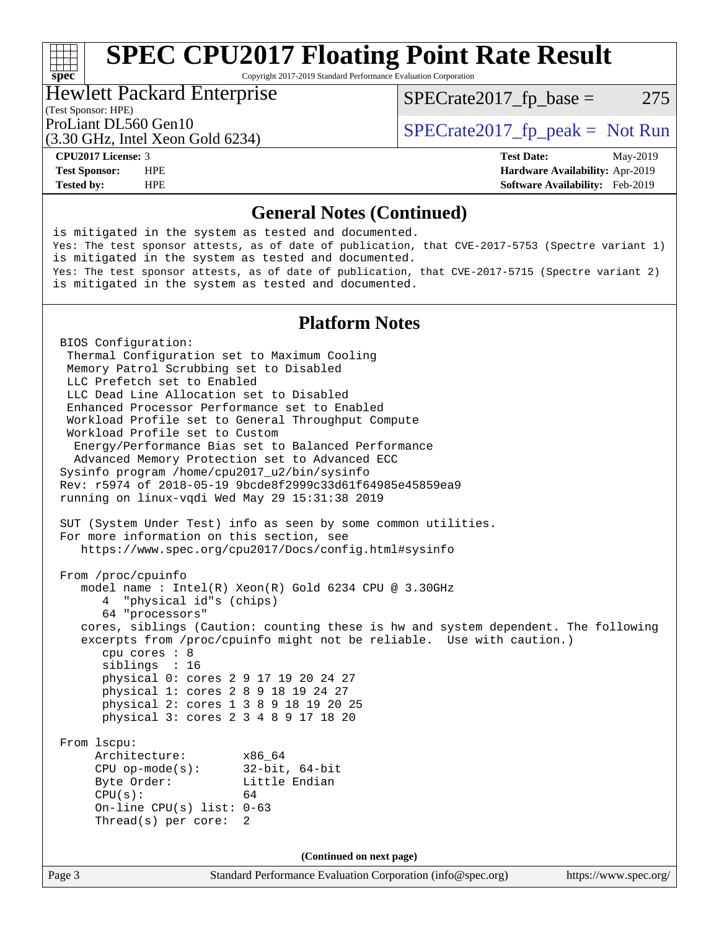Copyright 2017-2019 Standard Performance Evaluation Corporation

### Hewlett Packard Enterprise

 $SPECTate2017<sub>fr</sub> base = 275$ 

### (Test Sponsor: HPE)

(3.30 GHz, Intel Xeon Gold 6234)

ProLiant DL560 Gen10  $SPECrate2017$  fp\_peak = Not Run

**[spec](http://www.spec.org/)**<sup>®</sup>

**[Tested by:](http://www.spec.org/auto/cpu2017/Docs/result-fields.html#Testedby)** HPE **[Software Availability:](http://www.spec.org/auto/cpu2017/Docs/result-fields.html#SoftwareAvailability)** Feb-2019

**[CPU2017 License:](http://www.spec.org/auto/cpu2017/Docs/result-fields.html#CPU2017License)** 3 **[Test Date:](http://www.spec.org/auto/cpu2017/Docs/result-fields.html#TestDate)** May-2019 **[Test Sponsor:](http://www.spec.org/auto/cpu2017/Docs/result-fields.html#TestSponsor)** HPE **[Hardware Availability:](http://www.spec.org/auto/cpu2017/Docs/result-fields.html#HardwareAvailability)** Apr-2019

### **[General Notes \(Continued\)](http://www.spec.org/auto/cpu2017/Docs/result-fields.html#GeneralNotes)**

Page 3 Standard Performance Evaluation Corporation [\(info@spec.org\)](mailto:info@spec.org) <https://www.spec.org/> is mitigated in the system as tested and documented. Yes: The test sponsor attests, as of date of publication, that CVE-2017-5753 (Spectre variant 1) is mitigated in the system as tested and documented. Yes: The test sponsor attests, as of date of publication, that CVE-2017-5715 (Spectre variant 2) is mitigated in the system as tested and documented. **[Platform Notes](http://www.spec.org/auto/cpu2017/Docs/result-fields.html#PlatformNotes)** BIOS Configuration: Thermal Configuration set to Maximum Cooling Memory Patrol Scrubbing set to Disabled LLC Prefetch set to Enabled LLC Dead Line Allocation set to Disabled Enhanced Processor Performance set to Enabled Workload Profile set to General Throughput Compute Workload Profile set to Custom Energy/Performance Bias set to Balanced Performance Advanced Memory Protection set to Advanced ECC Sysinfo program /home/cpu2017\_u2/bin/sysinfo Rev: r5974 of 2018-05-19 9bcde8f2999c33d61f64985e45859ea9 running on linux-vqdi Wed May 29 15:31:38 2019 SUT (System Under Test) info as seen by some common utilities. For more information on this section, see <https://www.spec.org/cpu2017/Docs/config.html#sysinfo> From /proc/cpuinfo model name : Intel(R) Xeon(R) Gold 6234 CPU @ 3.30GHz 4 "physical id"s (chips) 64 "processors" cores, siblings (Caution: counting these is hw and system dependent. The following excerpts from /proc/cpuinfo might not be reliable. Use with caution.) cpu cores : 8 siblings : 16 physical 0: cores 2 9 17 19 20 24 27 physical 1: cores 2 8 9 18 19 24 27 physical 2: cores 1 3 8 9 18 19 20 25 physical 3: cores 2 3 4 8 9 17 18 20 From lscpu: Architecture: x86\_64 CPU op-mode(s): 32-bit, 64-bit Byte Order: Little Endian  $CPU(s):$  64 On-line CPU(s) list: 0-63 Thread(s) per core: 2 **(Continued on next page)**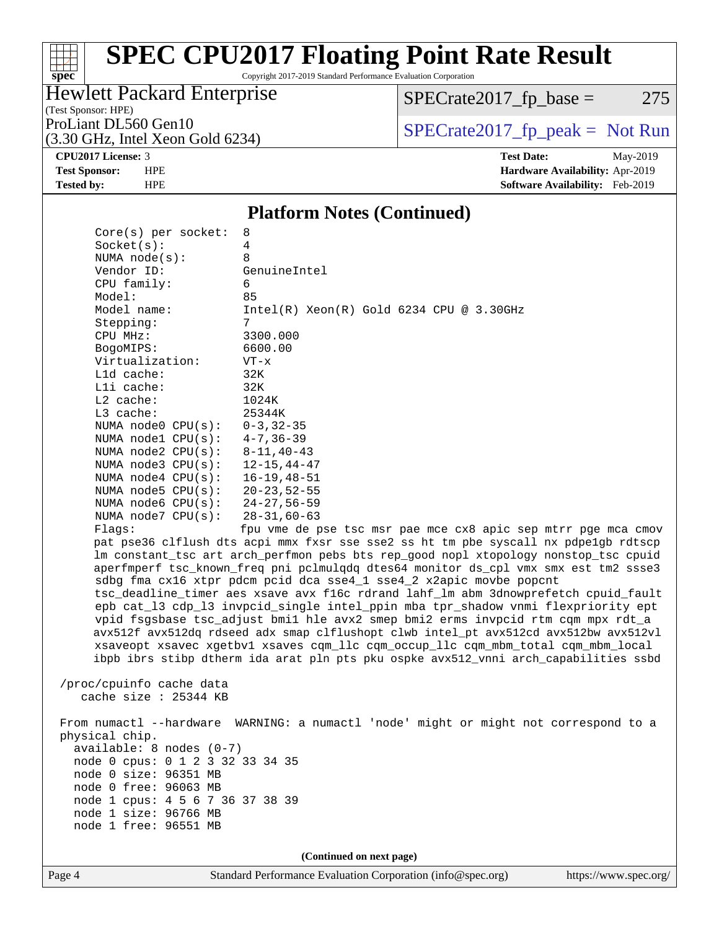## $\begin{matrix} & \ + \ + \end{matrix}$ **[spec](http://www.spec.org/)**

## **[SPEC CPU2017 Floating Point Rate Result](http://www.spec.org/auto/cpu2017/Docs/result-fields.html#SPECCPU2017FloatingPointRateResult)**

Copyright 2017-2019 Standard Performance Evaluation Corporation

## Hewlett Packard Enterprise

 $SPECTate2017_fp\_base = 275$ 

## (Test Sponsor: HPE)

(3.30 GHz, Intel Xeon Gold 6234)

ProLiant DL560 Gen10<br>  $(3.30 \text{ GHz} \text{ Intel } X \text{eon } \text{Gold } 6234)$  [SPECrate2017\\_fp\\_peak =](http://www.spec.org/auto/cpu2017/Docs/result-fields.html#SPECrate2017fppeak) Not Run

**[CPU2017 License:](http://www.spec.org/auto/cpu2017/Docs/result-fields.html#CPU2017License)** 3 **[Test Date:](http://www.spec.org/auto/cpu2017/Docs/result-fields.html#TestDate)** May-2019 **[Test Sponsor:](http://www.spec.org/auto/cpu2017/Docs/result-fields.html#TestSponsor)** HPE **[Hardware Availability:](http://www.spec.org/auto/cpu2017/Docs/result-fields.html#HardwareAvailability)** Apr-2019 **[Tested by:](http://www.spec.org/auto/cpu2017/Docs/result-fields.html#Testedby)** HPE **[Software Availability:](http://www.spec.org/auto/cpu2017/Docs/result-fields.html#SoftwareAvailability)** Feb-2019

### **[Platform Notes \(Continued\)](http://www.spec.org/auto/cpu2017/Docs/result-fields.html#PlatformNotes)**

| $available: 8 nodes (0-7)$<br>node 0 cpus: 0 1 2 3 32 33 34 35<br>node 0 size: 96351 MB<br>node 0 free: 96063 MB<br>node 1 cpus: 4 5 6 7 36 37 38 39<br>node 1 size: 96766 MB<br>node 1 free: 96551 MB | (Continued on next page)                                                                                                                                                 |
|--------------------------------------------------------------------------------------------------------------------------------------------------------------------------------------------------------|--------------------------------------------------------------------------------------------------------------------------------------------------------------------------|
|                                                                                                                                                                                                        |                                                                                                                                                                          |
|                                                                                                                                                                                                        |                                                                                                                                                                          |
|                                                                                                                                                                                                        |                                                                                                                                                                          |
|                                                                                                                                                                                                        |                                                                                                                                                                          |
|                                                                                                                                                                                                        |                                                                                                                                                                          |
|                                                                                                                                                                                                        |                                                                                                                                                                          |
|                                                                                                                                                                                                        |                                                                                                                                                                          |
|                                                                                                                                                                                                        |                                                                                                                                                                          |
|                                                                                                                                                                                                        |                                                                                                                                                                          |
| physical chip.                                                                                                                                                                                         |                                                                                                                                                                          |
|                                                                                                                                                                                                        | From numactl --hardware WARNING: a numactl 'node' might or might not correspond to a                                                                                     |
| cache size : 25344 KB                                                                                                                                                                                  |                                                                                                                                                                          |
| /proc/cpuinfo cache data                                                                                                                                                                               |                                                                                                                                                                          |
|                                                                                                                                                                                                        |                                                                                                                                                                          |
|                                                                                                                                                                                                        | xsaveopt xsavec xgetbvl xsaves cqm_llc cqm_occup_llc cqm_mbm_total cqm_mbm_local<br>ibpb ibrs stibp dtherm ida arat pln pts pku ospke avx512_vnni arch_capabilities ssbd |
|                                                                                                                                                                                                        | avx512f avx512dq rdseed adx smap clflushopt clwb intel_pt avx512cd avx512bw avx512vl                                                                                     |
|                                                                                                                                                                                                        | vpid fsgsbase tsc_adjust bmil hle avx2 smep bmi2 erms invpcid rtm cqm mpx rdt_a                                                                                          |
|                                                                                                                                                                                                        | epb cat_13 cdp_13 invpcid_single intel_ppin mba tpr_shadow vnmi flexpriority ept                                                                                         |
|                                                                                                                                                                                                        | tsc_deadline_timer aes xsave avx f16c rdrand lahf_lm abm 3dnowprefetch cpuid_fault                                                                                       |
|                                                                                                                                                                                                        | sdbg fma cx16 xtpr pdcm pcid dca sse4_1 sse4_2 x2apic movbe popcnt                                                                                                       |
|                                                                                                                                                                                                        | aperfmperf tsc_known_freq pni pclmulqdq dtes64 monitor ds_cpl vmx smx est tm2 ssse3                                                                                      |
|                                                                                                                                                                                                        | lm constant_tsc art arch_perfmon pebs bts rep_good nopl xtopology nonstop_tsc cpuid                                                                                      |
|                                                                                                                                                                                                        | pat pse36 clflush dts acpi mmx fxsr sse sse2 ss ht tm pbe syscall nx pdpelgb rdtscp                                                                                      |
| Flaqs:                                                                                                                                                                                                 | fpu vme de pse tsc msr pae mce cx8 apic sep mtrr pge mca cmov                                                                                                            |
| NUMA $node7$ $CPU(s):$                                                                                                                                                                                 | $28 - 31,60 - 63$                                                                                                                                                        |
| NUMA $node6$ $CPU(s):$                                                                                                                                                                                 | $24 - 27,56 - 59$                                                                                                                                                        |
| NUMA $node5$ $CPU(s):$                                                                                                                                                                                 | 20-23,52-55                                                                                                                                                              |
| NUMA $node4$ $CPU(s):$                                                                                                                                                                                 | 16–19,48–51                                                                                                                                                              |
| NUMA $node3$ $CPU(s):$                                                                                                                                                                                 | $12 - 15, 44 - 47$                                                                                                                                                       |
| NUMA $node2$ $CPU(s):$                                                                                                                                                                                 | 8-11,40-43                                                                                                                                                               |
| NUMA nodel CPU(s):                                                                                                                                                                                     | $4 - 7$ , 36 – 39                                                                                                                                                        |
| NUMA node0 CPU(s):                                                                                                                                                                                     | $0 - 3, 32 - 35$                                                                                                                                                         |
| L3 cache:                                                                                                                                                                                              | 25344K                                                                                                                                                                   |
| $L2$ cache:                                                                                                                                                                                            | 1024K                                                                                                                                                                    |
| Lli cache:                                                                                                                                                                                             | 32K                                                                                                                                                                      |
| L1d cache:                                                                                                                                                                                             | 32K                                                                                                                                                                      |
| Virtualization:                                                                                                                                                                                        | $VT - x$                                                                                                                                                                 |
| BogoMIPS:                                                                                                                                                                                              | 6600.00                                                                                                                                                                  |
| CPU MHz:                                                                                                                                                                                               | 3300.000                                                                                                                                                                 |
| Stepping:                                                                                                                                                                                              | 7                                                                                                                                                                        |
| Model name:                                                                                                                                                                                            | $Intel(R)$ Xeon $(R)$ Gold 6234 CPU @ 3.30GHz                                                                                                                            |
| Model:                                                                                                                                                                                                 | 85                                                                                                                                                                       |
| CPU family:                                                                                                                                                                                            | 6                                                                                                                                                                        |
| Vendor ID:                                                                                                                                                                                             | GenuineIntel                                                                                                                                                             |
| NUMA $node(s)$ :                                                                                                                                                                                       | 8                                                                                                                                                                        |
| Socket(s):                                                                                                                                                                                             | 4                                                                                                                                                                        |
| $Core(s)$ per socket:                                                                                                                                                                                  |                                                                                                                                                                          |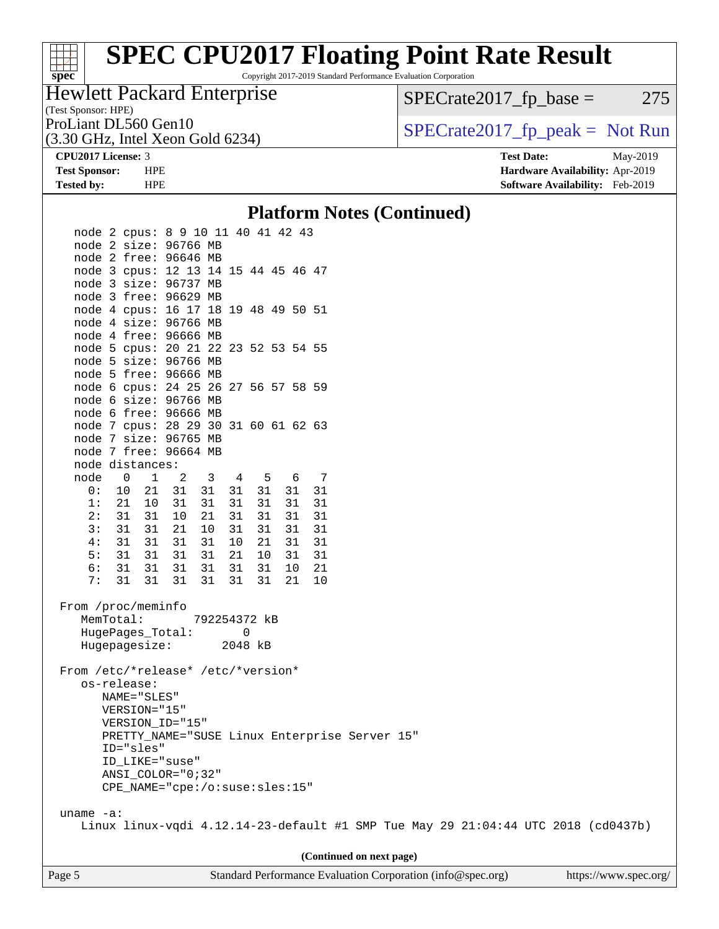# **[spec](http://www.spec.org/)**

## **[SPEC CPU2017 Floating Point Rate Result](http://www.spec.org/auto/cpu2017/Docs/result-fields.html#SPECCPU2017FloatingPointRateResult)**

Copyright 2017-2019 Standard Performance Evaluation Corporation

### (Test Sponsor: HPE) Hewlett Packard Enterprise

 $SPECrate2017_fp\_base = 275$ 

(3.30 GHz, Intel Xeon Gold 6234)

ProLiant DL560 Gen10<br>  $SPECTA 2017$   $(p_{\text{peak}} = Not Run$ 

**[CPU2017 License:](http://www.spec.org/auto/cpu2017/Docs/result-fields.html#CPU2017License)** 3 **[Test Date:](http://www.spec.org/auto/cpu2017/Docs/result-fields.html#TestDate)** May-2019 **[Test Sponsor:](http://www.spec.org/auto/cpu2017/Docs/result-fields.html#TestSponsor)** HPE **[Hardware Availability:](http://www.spec.org/auto/cpu2017/Docs/result-fields.html#HardwareAvailability)** Apr-2019 **[Tested by:](http://www.spec.org/auto/cpu2017/Docs/result-fields.html#Testedby)** HPE **[Software Availability:](http://www.spec.org/auto/cpu2017/Docs/result-fields.html#SoftwareAvailability)** Feb-2019

### **[Platform Notes \(Continued\)](http://www.spec.org/auto/cpu2017/Docs/result-fields.html#PlatformNotes)**

| node 2 cpus: 8 9 10 11 40 41 42 43                                                |                   |              |    |              |    |    |                                               |  |  |
|-----------------------------------------------------------------------------------|-------------------|--------------|----|--------------|----|----|-----------------------------------------------|--|--|
| node 2 size: 96766 MB                                                             |                   |              |    |              |    |    |                                               |  |  |
| node 2 free: 96646 MB                                                             |                   |              |    |              |    |    |                                               |  |  |
| node 3 cpus: 12 13 14 15 44 45 46 47                                              |                   |              |    |              |    |    |                                               |  |  |
| node 3 size: 96737 MB                                                             |                   |              |    |              |    |    |                                               |  |  |
| node 3 free: 96629 MB                                                             |                   |              |    |              |    |    |                                               |  |  |
| node 4 cpus: 16 17 18 19 48 49 50 51                                              |                   |              |    |              |    |    |                                               |  |  |
| node 4 size: 96766 MB                                                             |                   |              |    |              |    |    |                                               |  |  |
| node 4 free: 96666 MB                                                             |                   |              |    |              |    |    |                                               |  |  |
| node 5 cpus: 20 21 22 23 52 53 54 55                                              |                   |              |    |              |    |    |                                               |  |  |
| node 5 size: 96766 MB                                                             |                   |              |    |              |    |    |                                               |  |  |
| node 5 free: 96666 MB                                                             |                   |              |    |              |    |    |                                               |  |  |
|                                                                                   |                   |              |    |              |    |    |                                               |  |  |
| node 6 cpus: 24 25 26 27 56 57 58 59                                              |                   |              |    |              |    |    |                                               |  |  |
| node 6 size: 96766 MB                                                             |                   |              |    |              |    |    |                                               |  |  |
| node 6 free: 96666 MB                                                             |                   |              |    |              |    |    |                                               |  |  |
| node 7 cpus: 28 29 30 31 60 61 62 63                                              |                   |              |    |              |    |    |                                               |  |  |
| node 7 size: 96765 MB                                                             |                   |              |    |              |    |    |                                               |  |  |
| node 7 free: 96664 MB                                                             |                   |              |    |              |    |    |                                               |  |  |
| node distances:                                                                   |                   |              |    |              |    |    |                                               |  |  |
| node<br>$\overline{0}$                                                            | $\mathbf{1}$<br>2 | $\mathbf{3}$ |    | 4 5          | 6  | 7  |                                               |  |  |
| 0 :<br>10                                                                         | 21<br>31          | 31           |    | 31 31        | 31 | 31 |                                               |  |  |
| 1:<br>21                                                                          | 10<br>31          | 31           | 31 | 31           | 31 | 31 |                                               |  |  |
| 2:<br>31                                                                          | 31<br>10          | 21           | 31 | 31           | 31 | 31 |                                               |  |  |
| 3:<br>31                                                                          | 31<br>21          | 10           | 31 | 31           | 31 | 31 |                                               |  |  |
| 4:<br>31                                                                          | 31<br>31          | 31           | 10 | 21           | 31 | 31 |                                               |  |  |
| 5:<br>31                                                                          | 31<br>31          | 31           | 21 | 10           | 31 | 31 |                                               |  |  |
| 6:<br>31                                                                          | 31<br>31          | 31           | 31 | 31           | 10 | 21 |                                               |  |  |
| 7:<br>31                                                                          | 31<br>31          | 31           | 31 | 31           | 21 | 10 |                                               |  |  |
|                                                                                   |                   |              |    |              |    |    |                                               |  |  |
| From /proc/meminfo                                                                |                   |              |    |              |    |    |                                               |  |  |
| MemTotal:                                                                         |                   |              |    | 792254372 kB |    |    |                                               |  |  |
| HugePages_Total:                                                                  |                   |              |    | 0            |    |    |                                               |  |  |
| Hugepagesize:                                                                     |                   |              |    | 2048 kB      |    |    |                                               |  |  |
|                                                                                   |                   |              |    |              |    |    |                                               |  |  |
| From /etc/*release* /etc/*version*                                                |                   |              |    |              |    |    |                                               |  |  |
| os-release:                                                                       |                   |              |    |              |    |    |                                               |  |  |
| NAME="SLES"                                                                       |                   |              |    |              |    |    |                                               |  |  |
| VERSION="15"                                                                      |                   |              |    |              |    |    |                                               |  |  |
| VERSION ID="15"                                                                   |                   |              |    |              |    |    |                                               |  |  |
|                                                                                   |                   |              |    |              |    |    | PRETTY_NAME="SUSE Linux Enterprise Server 15" |  |  |
| ID="sles"                                                                         |                   |              |    |              |    |    |                                               |  |  |
| ID_LIKE="suse"                                                                    |                   |              |    |              |    |    |                                               |  |  |
| $ANSI\_COLOR = "0;32"$                                                            |                   |              |    |              |    |    |                                               |  |  |
| CPE_NAME="cpe:/o:suse:sles:15"                                                    |                   |              |    |              |    |    |                                               |  |  |
|                                                                                   |                   |              |    |              |    |    |                                               |  |  |
| uname $-a$ :                                                                      |                   |              |    |              |    |    |                                               |  |  |
| Linux linux-vqdi 4.12.14-23-default #1 SMP Tue May 29 21:04:44 UTC 2018 (cd0437b) |                   |              |    |              |    |    |                                               |  |  |
|                                                                                   |                   |              |    |              |    |    |                                               |  |  |
|                                                                                   |                   |              |    |              |    |    |                                               |  |  |

**(Continued on next page)**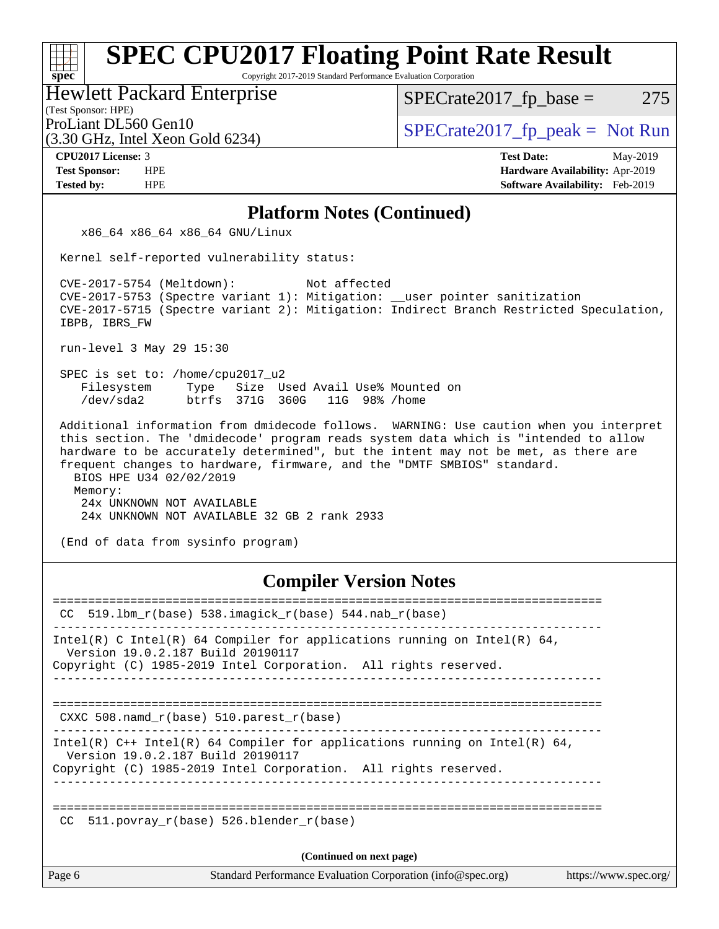Copyright 2017-2019 Standard Performance Evaluation Corporation

### Hewlett Packard Enterprise

 $SPECTate2017<sub>fr</sub> base = 275$ 

### (Test Sponsor: HPE)

(3.30 GHz, Intel Xeon Gold 6234)

ProLiant DL560 Gen10  $SPECTA 500$  [SPECrate2017\\_fp\\_peak =](http://www.spec.org/auto/cpu2017/Docs/result-fields.html#SPECrate2017fppeak) Not Run

**[CPU2017 License:](http://www.spec.org/auto/cpu2017/Docs/result-fields.html#CPU2017License)** 3 **[Test Date:](http://www.spec.org/auto/cpu2017/Docs/result-fields.html#TestDate)** May-2019 **[Test Sponsor:](http://www.spec.org/auto/cpu2017/Docs/result-fields.html#TestSponsor)** HPE **[Hardware Availability:](http://www.spec.org/auto/cpu2017/Docs/result-fields.html#HardwareAvailability)** Apr-2019 **[Tested by:](http://www.spec.org/auto/cpu2017/Docs/result-fields.html#Testedby)** HPE **[Software Availability:](http://www.spec.org/auto/cpu2017/Docs/result-fields.html#SoftwareAvailability)** Feb-2019

### **[Platform Notes \(Continued\)](http://www.spec.org/auto/cpu2017/Docs/result-fields.html#PlatformNotes)**

x86\_64 x86\_64 x86\_64 GNU/Linux

Kernel self-reported vulnerability status:

 CVE-2017-5754 (Meltdown): Not affected CVE-2017-5753 (Spectre variant 1): Mitigation: \_\_user pointer sanitization CVE-2017-5715 (Spectre variant 2): Mitigation: Indirect Branch Restricted Speculation, IBPB, IBRS\_FW

run-level 3 May 29 15:30

 SPEC is set to: /home/cpu2017\_u2 Filesystem Type Size Used Avail Use% Mounted on /dev/sda2 btrfs 371G 360G 11G 98% /home

 Additional information from dmidecode follows. WARNING: Use caution when you interpret this section. The 'dmidecode' program reads system data which is "intended to allow hardware to be accurately determined", but the intent may not be met, as there are frequent changes to hardware, firmware, and the "DMTF SMBIOS" standard.

BIOS HPE U34 02/02/2019

 Memory: 24x UNKNOWN NOT AVAILABLE 24x UNKNOWN NOT AVAILABLE 32 GB 2 rank 2933

(End of data from sysinfo program)

## **[Compiler Version Notes](http://www.spec.org/auto/cpu2017/Docs/result-fields.html#CompilerVersionNotes)**

| CC     | 519.1bm r(base) 538.imagick r(base) 544.nab r(base)                                                                                                                                  |
|--------|--------------------------------------------------------------------------------------------------------------------------------------------------------------------------------------|
|        | Intel(R) C Intel(R) 64 Compiler for applications running on Intel(R) 64,<br>Version 19.0.2.187 Build 20190117<br>Copyright (C) 1985-2019 Intel Corporation. All rights reserved.     |
|        | =====================================<br>CXXC 508. namd $r(base)$ 510. parest $r(base)$                                                                                              |
|        | Intel(R) $C++$ Intel(R) 64 Compiler for applications running on Intel(R) 64,<br>Version 19.0.2.187 Build 20190117<br>Copyright (C) 1985-2019 Intel Corporation. All rights reserved. |
| CC.    | 511.povray $r(base)$ 526.blender $r(base)$                                                                                                                                           |
|        | (Continued on next page)                                                                                                                                                             |
| Page 6 | Standard Performance Evaluation Corporation (info@spec.org)<br>https://www.spec.org/                                                                                                 |

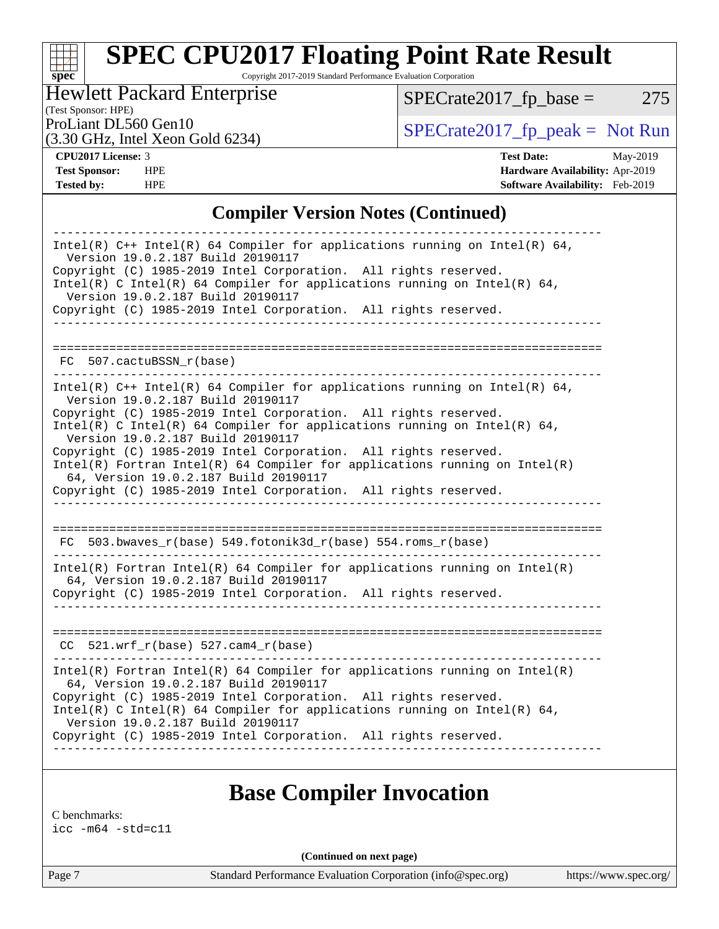# **[spec](http://www.spec.org/)**

## **[SPEC CPU2017 Floating Point Rate Result](http://www.spec.org/auto/cpu2017/Docs/result-fields.html#SPECCPU2017FloatingPointRateResult)**

Copyright 2017-2019 Standard Performance Evaluation Corporation

### Hewlett Packard Enterprise

 $SPECrate2017_fp\_base = 275$ 

## (Test Sponsor: HPE)

(3.30 GHz, Intel Xeon Gold 6234)

ProLiant DL560 Gen10<br>  $SPECTA 2017$   $(p_{\text{peak}} = Not Run$ 

**[CPU2017 License:](http://www.spec.org/auto/cpu2017/Docs/result-fields.html#CPU2017License)** 3 **[Test Date:](http://www.spec.org/auto/cpu2017/Docs/result-fields.html#TestDate)** May-2019 **[Test Sponsor:](http://www.spec.org/auto/cpu2017/Docs/result-fields.html#TestSponsor)** HPE **[Hardware Availability:](http://www.spec.org/auto/cpu2017/Docs/result-fields.html#HardwareAvailability)** Apr-2019 **[Tested by:](http://www.spec.org/auto/cpu2017/Docs/result-fields.html#Testedby)** HPE **HPE [Software Availability:](http://www.spec.org/auto/cpu2017/Docs/result-fields.html#SoftwareAvailability)** Feb-2019

## **[Compiler Version Notes \(Continued\)](http://www.spec.org/auto/cpu2017/Docs/result-fields.html#CompilerVersionNotes)**

| Intel(R) $C++$ Intel(R) 64 Compiler for applications running on Intel(R) 64,<br>Version 19.0.2.187 Build 20190117<br>Copyright (C) 1985-2019 Intel Corporation. All rights reserved.<br>Intel(R) C Intel(R) 64 Compiler for applications running on Intel(R) 64,<br>Version 19.0.2.187 Build 20190117 |
|-------------------------------------------------------------------------------------------------------------------------------------------------------------------------------------------------------------------------------------------------------------------------------------------------------|
| Copyright (C) 1985-2019 Intel Corporation. All rights reserved.                                                                                                                                                                                                                                       |
|                                                                                                                                                                                                                                                                                                       |
| FC 507.cactuBSSN r(base)                                                                                                                                                                                                                                                                              |
| Intel(R) $C++$ Intel(R) 64 Compiler for applications running on Intel(R) 64,<br>Version 19.0.2.187 Build 20190117                                                                                                                                                                                     |
| Copyright (C) 1985-2019 Intel Corporation. All rights reserved.<br>Intel(R) C Intel(R) 64 Compiler for applications running on Intel(R) 64,<br>Version 19.0.2.187 Build 20190117                                                                                                                      |
| Copyright (C) 1985-2019 Intel Corporation. All rights reserved.<br>$Intel(R)$ Fortran Intel(R) 64 Compiler for applications running on Intel(R)<br>64, Version 19.0.2.187 Build 20190117                                                                                                              |
| Copyright (C) 1985-2019 Intel Corporation. All rights reserved.                                                                                                                                                                                                                                       |
|                                                                                                                                                                                                                                                                                                       |
| FC 503.bwaves_r(base) 549.fotonik3d_r(base) 554.roms_r(base)                                                                                                                                                                                                                                          |
| $Intel(R)$ Fortran Intel(R) 64 Compiler for applications running on Intel(R)<br>64, Version 19.0.2.187 Build 20190117                                                                                                                                                                                 |
| Copyright (C) 1985-2019 Intel Corporation. All rights reserved.                                                                                                                                                                                                                                       |
|                                                                                                                                                                                                                                                                                                       |
| $CC$ 521.wrf_r(base) 527.cam4_r(base)                                                                                                                                                                                                                                                                 |
|                                                                                                                                                                                                                                                                                                       |
| $Intel(R)$ Fortran Intel(R) 64 Compiler for applications running on Intel(R)<br>64, Version 19.0.2.187 Build 20190117                                                                                                                                                                                 |
| Copyright (C) 1985-2019 Intel Corporation. All rights reserved.<br>Intel(R) C Intel(R) 64 Compiler for applications running on Intel(R) 64,<br>Version 19.0.2.187 Build 20190117                                                                                                                      |
| Copyright (C) 1985-2019 Intel Corporation. All rights reserved.                                                                                                                                                                                                                                       |
|                                                                                                                                                                                                                                                                                                       |

## **[Base Compiler Invocation](http://www.spec.org/auto/cpu2017/Docs/result-fields.html#BaseCompilerInvocation)**

[C benchmarks:](http://www.spec.org/auto/cpu2017/Docs/result-fields.html#Cbenchmarks) [icc -m64 -std=c11](http://www.spec.org/cpu2017/results/res2019q3/cpu2017-20190625-15668.flags.html#user_CCbase_intel_icc_64bit_c11_33ee0cdaae7deeeab2a9725423ba97205ce30f63b9926c2519791662299b76a0318f32ddfffdc46587804de3178b4f9328c46fa7c2b0cd779d7a61945c91cd35)

**(Continued on next page)**

Page 7 Standard Performance Evaluation Corporation [\(info@spec.org\)](mailto:info@spec.org) <https://www.spec.org/>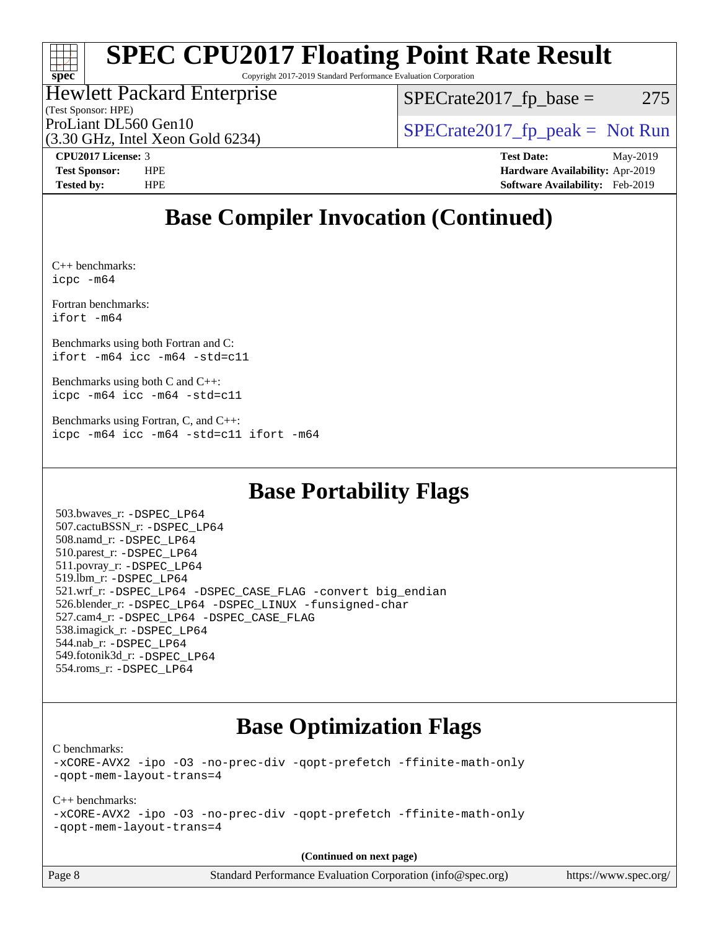# **[spec](http://www.spec.org/)**

## **[SPEC CPU2017 Floating Point Rate Result](http://www.spec.org/auto/cpu2017/Docs/result-fields.html#SPECCPU2017FloatingPointRateResult)**

Copyright 2017-2019 Standard Performance Evaluation Corporation

## Hewlett Packard Enterprise

(3.30 GHz, Intel Xeon Gold 6234)

(Test Sponsor: HPE)

 $SPECTate2017<sub>fr</sub> base = 275$ 

ProLiant DL560 Gen10  $SPECrate2017$  fp\_peak = Not Run

**[CPU2017 License:](http://www.spec.org/auto/cpu2017/Docs/result-fields.html#CPU2017License)** 3 **[Test Date:](http://www.spec.org/auto/cpu2017/Docs/result-fields.html#TestDate)** May-2019 **[Test Sponsor:](http://www.spec.org/auto/cpu2017/Docs/result-fields.html#TestSponsor)** HPE **[Hardware Availability:](http://www.spec.org/auto/cpu2017/Docs/result-fields.html#HardwareAvailability)** Apr-2019 **[Tested by:](http://www.spec.org/auto/cpu2017/Docs/result-fields.html#Testedby)** HPE **[Software Availability:](http://www.spec.org/auto/cpu2017/Docs/result-fields.html#SoftwareAvailability)** Feb-2019

## **[Base Compiler Invocation \(Continued\)](http://www.spec.org/auto/cpu2017/Docs/result-fields.html#BaseCompilerInvocation)**

[C++ benchmarks](http://www.spec.org/auto/cpu2017/Docs/result-fields.html#CXXbenchmarks): [icpc -m64](http://www.spec.org/cpu2017/results/res2019q3/cpu2017-20190625-15668.flags.html#user_CXXbase_intel_icpc_64bit_4ecb2543ae3f1412ef961e0650ca070fec7b7afdcd6ed48761b84423119d1bf6bdf5cad15b44d48e7256388bc77273b966e5eb805aefd121eb22e9299b2ec9d9)

[Fortran benchmarks](http://www.spec.org/auto/cpu2017/Docs/result-fields.html#Fortranbenchmarks): [ifort -m64](http://www.spec.org/cpu2017/results/res2019q3/cpu2017-20190625-15668.flags.html#user_FCbase_intel_ifort_64bit_24f2bb282fbaeffd6157abe4f878425411749daecae9a33200eee2bee2fe76f3b89351d69a8130dd5949958ce389cf37ff59a95e7a40d588e8d3a57e0c3fd751)

[Benchmarks using both Fortran and C:](http://www.spec.org/auto/cpu2017/Docs/result-fields.html#BenchmarksusingbothFortranandC) [ifort -m64](http://www.spec.org/cpu2017/results/res2019q3/cpu2017-20190625-15668.flags.html#user_CC_FCbase_intel_ifort_64bit_24f2bb282fbaeffd6157abe4f878425411749daecae9a33200eee2bee2fe76f3b89351d69a8130dd5949958ce389cf37ff59a95e7a40d588e8d3a57e0c3fd751) [icc -m64 -std=c11](http://www.spec.org/cpu2017/results/res2019q3/cpu2017-20190625-15668.flags.html#user_CC_FCbase_intel_icc_64bit_c11_33ee0cdaae7deeeab2a9725423ba97205ce30f63b9926c2519791662299b76a0318f32ddfffdc46587804de3178b4f9328c46fa7c2b0cd779d7a61945c91cd35)

[Benchmarks using both C and C++](http://www.spec.org/auto/cpu2017/Docs/result-fields.html#BenchmarksusingbothCandCXX): [icpc -m64](http://www.spec.org/cpu2017/results/res2019q3/cpu2017-20190625-15668.flags.html#user_CC_CXXbase_intel_icpc_64bit_4ecb2543ae3f1412ef961e0650ca070fec7b7afdcd6ed48761b84423119d1bf6bdf5cad15b44d48e7256388bc77273b966e5eb805aefd121eb22e9299b2ec9d9) [icc -m64 -std=c11](http://www.spec.org/cpu2017/results/res2019q3/cpu2017-20190625-15668.flags.html#user_CC_CXXbase_intel_icc_64bit_c11_33ee0cdaae7deeeab2a9725423ba97205ce30f63b9926c2519791662299b76a0318f32ddfffdc46587804de3178b4f9328c46fa7c2b0cd779d7a61945c91cd35)

[Benchmarks using Fortran, C, and C++:](http://www.spec.org/auto/cpu2017/Docs/result-fields.html#BenchmarksusingFortranCandCXX) [icpc -m64](http://www.spec.org/cpu2017/results/res2019q3/cpu2017-20190625-15668.flags.html#user_CC_CXX_FCbase_intel_icpc_64bit_4ecb2543ae3f1412ef961e0650ca070fec7b7afdcd6ed48761b84423119d1bf6bdf5cad15b44d48e7256388bc77273b966e5eb805aefd121eb22e9299b2ec9d9) [icc -m64 -std=c11](http://www.spec.org/cpu2017/results/res2019q3/cpu2017-20190625-15668.flags.html#user_CC_CXX_FCbase_intel_icc_64bit_c11_33ee0cdaae7deeeab2a9725423ba97205ce30f63b9926c2519791662299b76a0318f32ddfffdc46587804de3178b4f9328c46fa7c2b0cd779d7a61945c91cd35) [ifort -m64](http://www.spec.org/cpu2017/results/res2019q3/cpu2017-20190625-15668.flags.html#user_CC_CXX_FCbase_intel_ifort_64bit_24f2bb282fbaeffd6157abe4f878425411749daecae9a33200eee2bee2fe76f3b89351d69a8130dd5949958ce389cf37ff59a95e7a40d588e8d3a57e0c3fd751)

## **[Base Portability Flags](http://www.spec.org/auto/cpu2017/Docs/result-fields.html#BasePortabilityFlags)**

 503.bwaves\_r: [-DSPEC\\_LP64](http://www.spec.org/cpu2017/results/res2019q3/cpu2017-20190625-15668.flags.html#suite_basePORTABILITY503_bwaves_r_DSPEC_LP64) 507.cactuBSSN\_r: [-DSPEC\\_LP64](http://www.spec.org/cpu2017/results/res2019q3/cpu2017-20190625-15668.flags.html#suite_basePORTABILITY507_cactuBSSN_r_DSPEC_LP64) 508.namd\_r: [-DSPEC\\_LP64](http://www.spec.org/cpu2017/results/res2019q3/cpu2017-20190625-15668.flags.html#suite_basePORTABILITY508_namd_r_DSPEC_LP64) 510.parest\_r: [-DSPEC\\_LP64](http://www.spec.org/cpu2017/results/res2019q3/cpu2017-20190625-15668.flags.html#suite_basePORTABILITY510_parest_r_DSPEC_LP64) 511.povray\_r: [-DSPEC\\_LP64](http://www.spec.org/cpu2017/results/res2019q3/cpu2017-20190625-15668.flags.html#suite_basePORTABILITY511_povray_r_DSPEC_LP64) 519.lbm\_r: [-DSPEC\\_LP64](http://www.spec.org/cpu2017/results/res2019q3/cpu2017-20190625-15668.flags.html#suite_basePORTABILITY519_lbm_r_DSPEC_LP64) 521.wrf\_r: [-DSPEC\\_LP64](http://www.spec.org/cpu2017/results/res2019q3/cpu2017-20190625-15668.flags.html#suite_basePORTABILITY521_wrf_r_DSPEC_LP64) [-DSPEC\\_CASE\\_FLAG](http://www.spec.org/cpu2017/results/res2019q3/cpu2017-20190625-15668.flags.html#b521.wrf_r_baseCPORTABILITY_DSPEC_CASE_FLAG) [-convert big\\_endian](http://www.spec.org/cpu2017/results/res2019q3/cpu2017-20190625-15668.flags.html#user_baseFPORTABILITY521_wrf_r_convert_big_endian_c3194028bc08c63ac5d04de18c48ce6d347e4e562e8892b8bdbdc0214820426deb8554edfa529a3fb25a586e65a3d812c835984020483e7e73212c4d31a38223) 526.blender\_r: [-DSPEC\\_LP64](http://www.spec.org/cpu2017/results/res2019q3/cpu2017-20190625-15668.flags.html#suite_basePORTABILITY526_blender_r_DSPEC_LP64) [-DSPEC\\_LINUX](http://www.spec.org/cpu2017/results/res2019q3/cpu2017-20190625-15668.flags.html#b526.blender_r_baseCPORTABILITY_DSPEC_LINUX) [-funsigned-char](http://www.spec.org/cpu2017/results/res2019q3/cpu2017-20190625-15668.flags.html#user_baseCPORTABILITY526_blender_r_force_uchar_40c60f00ab013830e2dd6774aeded3ff59883ba5a1fc5fc14077f794d777847726e2a5858cbc7672e36e1b067e7e5c1d9a74f7176df07886a243d7cc18edfe67) 527.cam4\_r: [-DSPEC\\_LP64](http://www.spec.org/cpu2017/results/res2019q3/cpu2017-20190625-15668.flags.html#suite_basePORTABILITY527_cam4_r_DSPEC_LP64) [-DSPEC\\_CASE\\_FLAG](http://www.spec.org/cpu2017/results/res2019q3/cpu2017-20190625-15668.flags.html#b527.cam4_r_baseCPORTABILITY_DSPEC_CASE_FLAG) 538.imagick\_r: [-DSPEC\\_LP64](http://www.spec.org/cpu2017/results/res2019q3/cpu2017-20190625-15668.flags.html#suite_basePORTABILITY538_imagick_r_DSPEC_LP64) 544.nab\_r: [-DSPEC\\_LP64](http://www.spec.org/cpu2017/results/res2019q3/cpu2017-20190625-15668.flags.html#suite_basePORTABILITY544_nab_r_DSPEC_LP64) 549.fotonik3d\_r: [-DSPEC\\_LP64](http://www.spec.org/cpu2017/results/res2019q3/cpu2017-20190625-15668.flags.html#suite_basePORTABILITY549_fotonik3d_r_DSPEC_LP64) 554.roms\_r: [-DSPEC\\_LP64](http://www.spec.org/cpu2017/results/res2019q3/cpu2017-20190625-15668.flags.html#suite_basePORTABILITY554_roms_r_DSPEC_LP64)

## **[Base Optimization Flags](http://www.spec.org/auto/cpu2017/Docs/result-fields.html#BaseOptimizationFlags)**

[C benchmarks](http://www.spec.org/auto/cpu2017/Docs/result-fields.html#Cbenchmarks):

[-xCORE-AVX2](http://www.spec.org/cpu2017/results/res2019q3/cpu2017-20190625-15668.flags.html#user_CCbase_f-xCORE-AVX2) [-ipo](http://www.spec.org/cpu2017/results/res2019q3/cpu2017-20190625-15668.flags.html#user_CCbase_f-ipo) [-O3](http://www.spec.org/cpu2017/results/res2019q3/cpu2017-20190625-15668.flags.html#user_CCbase_f-O3) [-no-prec-div](http://www.spec.org/cpu2017/results/res2019q3/cpu2017-20190625-15668.flags.html#user_CCbase_f-no-prec-div) [-qopt-prefetch](http://www.spec.org/cpu2017/results/res2019q3/cpu2017-20190625-15668.flags.html#user_CCbase_f-qopt-prefetch) [-ffinite-math-only](http://www.spec.org/cpu2017/results/res2019q3/cpu2017-20190625-15668.flags.html#user_CCbase_f_finite_math_only_cb91587bd2077682c4b38af759c288ed7c732db004271a9512da14a4f8007909a5f1427ecbf1a0fb78ff2a814402c6114ac565ca162485bbcae155b5e4258871) [-qopt-mem-layout-trans=4](http://www.spec.org/cpu2017/results/res2019q3/cpu2017-20190625-15668.flags.html#user_CCbase_f-qopt-mem-layout-trans_fa39e755916c150a61361b7846f310bcdf6f04e385ef281cadf3647acec3f0ae266d1a1d22d972a7087a248fd4e6ca390a3634700869573d231a252c784941a8)

[C++ benchmarks:](http://www.spec.org/auto/cpu2017/Docs/result-fields.html#CXXbenchmarks)

[-xCORE-AVX2](http://www.spec.org/cpu2017/results/res2019q3/cpu2017-20190625-15668.flags.html#user_CXXbase_f-xCORE-AVX2) [-ipo](http://www.spec.org/cpu2017/results/res2019q3/cpu2017-20190625-15668.flags.html#user_CXXbase_f-ipo) [-O3](http://www.spec.org/cpu2017/results/res2019q3/cpu2017-20190625-15668.flags.html#user_CXXbase_f-O3) [-no-prec-div](http://www.spec.org/cpu2017/results/res2019q3/cpu2017-20190625-15668.flags.html#user_CXXbase_f-no-prec-div) [-qopt-prefetch](http://www.spec.org/cpu2017/results/res2019q3/cpu2017-20190625-15668.flags.html#user_CXXbase_f-qopt-prefetch) [-ffinite-math-only](http://www.spec.org/cpu2017/results/res2019q3/cpu2017-20190625-15668.flags.html#user_CXXbase_f_finite_math_only_cb91587bd2077682c4b38af759c288ed7c732db004271a9512da14a4f8007909a5f1427ecbf1a0fb78ff2a814402c6114ac565ca162485bbcae155b5e4258871) [-qopt-mem-layout-trans=4](http://www.spec.org/cpu2017/results/res2019q3/cpu2017-20190625-15668.flags.html#user_CXXbase_f-qopt-mem-layout-trans_fa39e755916c150a61361b7846f310bcdf6f04e385ef281cadf3647acec3f0ae266d1a1d22d972a7087a248fd4e6ca390a3634700869573d231a252c784941a8)

**(Continued on next page)**

Page 8 Standard Performance Evaluation Corporation [\(info@spec.org\)](mailto:info@spec.org) <https://www.spec.org/>